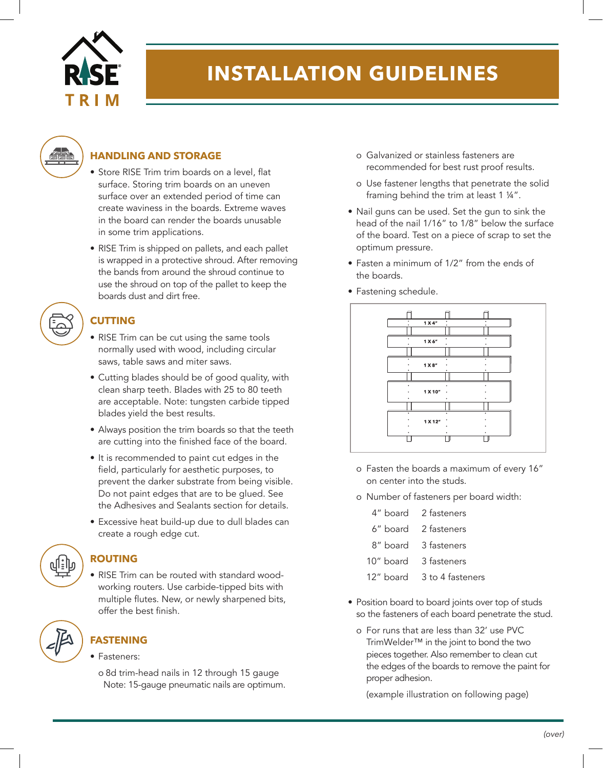

# **INSTALLATION GUIDELINES**



#### **HANDLING AND STORAGE**

- Store RISE Trim trim boards on a level, flat surface. Storing trim boards on an uneven surface over an extended period of time can create waviness in the boards. Extreme waves in the board can render the boards unusable in some trim applications.
- RISE Trim is shipped on pallets, and each pallet is wrapped in a protective shroud. After removing the bands from around the shroud continue to use the shroud on top of the pallet to keep the boards dust and dirt free.



#### **CUTTING**

- RISE Trim can be cut using the same tools normally used with wood, including circular saws, table saws and miter saws.
- Cutting blades should be of good quality, with clean sharp teeth. Blades with 25 to 80 teeth are acceptable. Note: tungsten carbide tipped blades yield the best results.
- Always position the trim boards so that the teeth are cutting into the finished face of the board.
- It is recommended to paint cut edges in the field, particularly for aesthetic purposes, to prevent the darker substrate from being visible. Do not paint edges that are to be glued. See the Adhesives and Sealants section for details.
- Excessive heat build-up due to dull blades can create a rough edge cut.

#### **ROUTING**

• RISE Trim can be routed with standard woodworking routers. Use carbide-tipped bits with multiple flutes. New, or newly sharpened bits, offer the best finish

## **FASTENING**

- Fasteners:
	- o 8d trim-head nails in 12 through 15 gauge Note: 15-gauge pneumatic nails are optimum.
- o Galvanized or stainless fasteners are recommended for best rust proof results.
- o Use fastener lengths that penetrate the solid framing behind the trim at least 1 ¼".
- Nail guns can be used. Set the gun to sink the head of the nail 1/16" to 1/8" below the surface of the board. Test on a piece of scrap to set the optimum pressure.
- Fasten a minimum of 1/2" from the ends of the boards.
- Fastening schedule.



- o Fasten the boards a maximum of every 16" on center into the studs.
- o Number of fasteners per board width:
	- 4" board 2 fasteners
	- 6" board 2 fasteners
	- 8" board 3 fasteners
	- 10" board 3 fasteners
	- 12" board 3 to 4 fasteners
- Position board to board joints over top of studs so the fasteners of each board penetrate the stud.
	- o For runs that are less than 32' use PVC TrimWelder™ in the joint to bond the two pieces together. Also remember to clean cut the edges of the boards to remove the paint for proper adhesion.

(example illustration on following page)